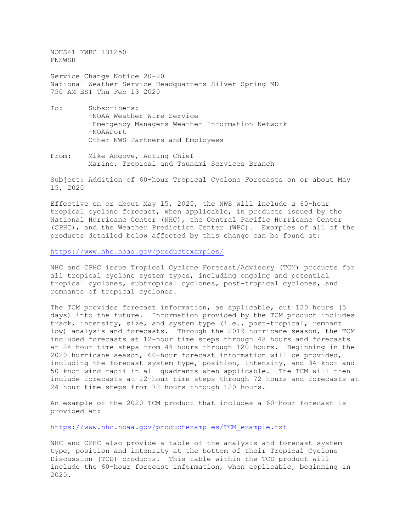NOUS41 KWBC 131250 PNSWSH

Service Change Notice 20-20 National Weather Service Headquarters Silver Spring MD 750 AM EST Thu Feb 13 2020

- To: Subscribers: -NOAA Weather Wire Service -Emergency Managers Weather Information Network -NOAAPort Other NWS Partners and Employees
- From: Mike Angove, Acting Chief Marine, Tropical and Tsunami Services Branch

Subject: Addition of 60-hour Tropical Cyclone Forecasts on or about May 15, 2020

Effective on or about May 15, 2020, the NWS will include a 60-hour tropical cyclone forecast, when applicable, in products issued by the National Hurricane Center (NHC), the Central Pacific Hurricane Center (CPHC), and the Weather Prediction Center (WPC). Examples of all of the products detailed below affected by this change can be found at:

<https://www.nhc.noaa.gov/productexamples/>

NHC and CPHC issue Tropical Cyclone Forecast/Advisory (TCM) products for all tropical cyclone system types, including ongoing and potential tropical cyclones, subtropical cyclones, post-tropical cyclones, and remnants of tropical cyclones.

The TCM provides forecast information, as applicable, out 120 hours (5 days) into the future. Information provided by the TCM product includes track, intensity, size, and system type (i.e., post-tropical, remnant low) analysis and forecasts. Through the 2019 hurricane season, the TCM included forecasts at 12-hour time steps through 48 hours and forecasts at 24-hour time steps from 48 hours through 120 hours. Beginning in the 2020 hurricane season, 60-hour forecast information will be provided, including the forecast system type, position, intensity, and 34-knot and 50-knot wind radii in all quadrants when applicable. The TCM will then include forecasts at 12-hour time steps through 72 hours and forecasts at 24-hour time steps from 72 hours through 120 hours.

An example of the 2020 TCM product that includes a 60-hour forecast is provided at:

[https://www.nhc.noaa.gov/productexamples/TCM\\_example.txt](https://www.nhc.noaa.gov/productexamples/TCM_example.txt)

NHC and CPHC also provide a table of the analysis and forecast system type, position and intensity at the bottom of their Tropical Cyclone Discussion (TCD) products. This table within the TCD product will include the 60-hour forecast information, when applicable, beginning in 2020.